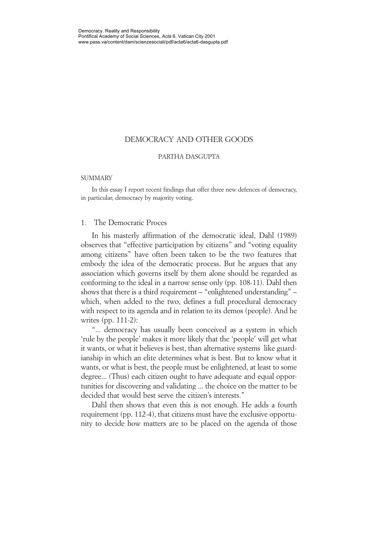# DEMOCRACY AND OTHER GOODS

### PARTHA DASGUPTA

#### **SUMMARY**

In this essay I report recent findings that offer three new defences of democracy, in particular, democracy by majority voting.

# 1. The Democratic Proces

In his masterly affirmation of the democratic ideal, Dahl (1989) observes that "effective participation by citizens" and "voting equality among citizens" have often been taken to be the two features that embody the idea of the democratic process. But he argues that any association which governs itself by them alone should be regarded as conforming to the ideal in a narrow sense only (pp. 108-11). Dahl then shows that there is a third requirement – "enlightened understanding" – which, when added to the two, defines a full procedural democracy with respect to its agenda and in relation to its demos (people). And he writes (pp. 111-2):

"... democracy has usually been conceived as a system in which 'rule by the people' makes it more likely that the 'people' will get what it wants, or what it believes is best, than alternative systems like guardianship in which an elite determines what is best. But to know what it wants, or what is best, the people must be enlightened, at least to some degree... (Thus) each citizen ought to have adequate and equal opportunities for discovering and validating ... the choice on the matter to be decided that would best serve the citizen's interests."

Dahl then shows that even this is not enough. He adds a fourth requirement (pp. 112-4), that citizens must have the exclusive opportunity to decide how matters are to be placed on the agenda of those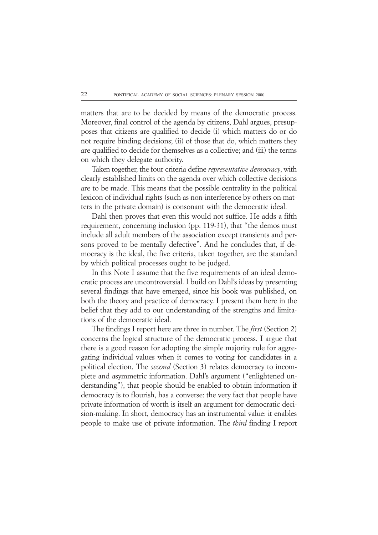matters that are to be decided by means of the democratic process. Moreover, final control of the agenda by citizens, Dahl argues, presupposes that citizens are qualified to decide (i) which matters do or do not require binding decisions; (ii) of those that do, which matters they are qualified to decide for themselves as a collective; and (iii) the terms on which they delegate authority.

Taken together, the four criteria define *representative democracy*, with clearly established limits on the agenda over which collective decisions are to be made. This means that the possible centrality in the political lexicon of individual rights (such as non-interference by others on matters in the private domain) is consonant with the democratic ideal.

Dahl then proves that even this would not suffice. He adds a fifth requirement, concerning inclusion (pp. 119-31), that "the demos must include all adult members of the association except transients and persons proved to be mentally defective". And he concludes that, if democracy is the ideal, the five criteria, taken together, are the standard by which political processes ought to be judged.

In this Note I assume that the five requirements of an ideal democratic process are uncontroversial. I build on Dahl's ideas by presenting several findings that have emerged, since his book was published, on both the theory and practice of democracy. I present them here in the belief that they add to our understanding of the strengths and limitations of the democratic ideal.

The findings I report here are three in number. The *first* (Section 2) concerns the logical structure of the democratic process. I argue that there is a good reason for adopting the simple majority rule for aggregating individual values when it comes to voting for candidates in a political election. The *second* (Section 3) relates democracy to incomplete and asymmetric information. Dahl's argument ("enlightened understanding"), that people should be enabled to obtain information if democracy is to flourish, has a converse: the very fact that people have private information of worth is itself an argument for democratic decision-making. In short, democracy has an instrumental value: it enables people to make use of private information. The *third* finding I report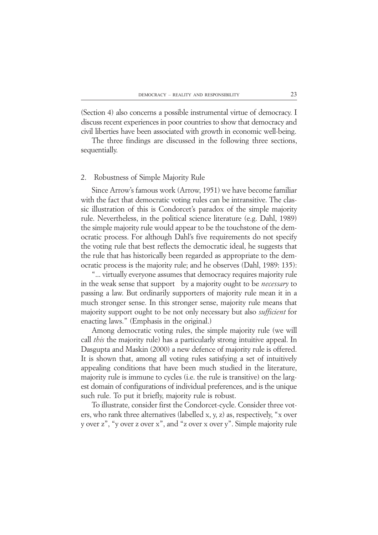(Section 4) also concerns a possible instrumental virtue of democracy. I discuss recent experiences in poor countries to show that democracy and civil liberties have been associated with growth in economic well-being.

The three findings are discussed in the following three sections, sequentially.

### 2. Robustness of Simple Majority Rule

Since Arrow's famous work (Arrow, 1951) we have become familiar with the fact that democratic voting rules can be intransitive. The classic illustration of this is Condorcet's paradox of the simple majority rule. Nevertheless, in the political science literature (e.g. Dahl, 1989) the simple majority rule would appear to be the touchstone of the democratic process. For although Dahl's five requirements do not specify the voting rule that best reflects the democratic ideal, he suggests that the rule that has historically been regarded as appropriate to the democratic process is the majority rule; and he observes (Dahl, 1989: 135):

"... virtually everyone assumes that democracy requires majority rule in the weak sense that support by a majority ought to be *necessary* to passing a law. But ordinarily supporters of majority rule mean it in a much stronger sense. In this stronger sense, majority rule means that majority support ought to be not only necessary but also *sufficient* for enacting laws." (Emphasis in the original.)

Among democratic voting rules, the simple majority rule (we will call *this* the majority rule) has a particularly strong intuitive appeal. In Dasgupta and Maskin (2000) a new defence of majority rule is offered. It is shown that, among all voting rules satisfying a set of intuitively appealing conditions that have been much studied in the literature, majority rule is immune to cycles (i.e. the rule is transitive) on the largest domain of configurations of individual preferences, and is the unique such rule. To put it briefly, majority rule is robust.

To illustrate, consider first the Condorcet-cycle. Consider three voters, who rank three alternatives (labelled x, y, z) as, respectively, "x over y over z", "y over z over x", and "z over x over y". Simple majority rule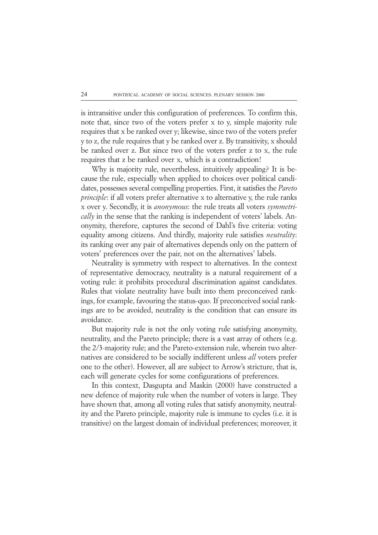is intransitive under this configuration of preferences. To confirm this, note that, since two of the voters prefer x to y, simple majority rule requires that x be ranked over y; likewise, since two of the voters prefer y to z, the rule requires that y be ranked over z. By transitivity, x should be ranked over z. But since two of the voters prefer z to x, the rule requires that z be ranked over x, which is a contradiction!

Why is majority rule, nevertheless, intuitively appealing? It is because the rule, especially when applied to choices over political candidates, possesses several compelling properties. First, it satisfies the *Pareto principle*: if all voters prefer alternative x to alternative y, the rule ranks x over y. Secondly, it is *anonymous*: the rule treats all voters *symmetrically* in the sense that the ranking is independent of voters' labels. Anonymity, therefore, captures the second of Dahl's five criteria: voting equality among citizens. And thirdly, majority rule satisfies *neutrality*: its ranking over any pair of alternatives depends only on the pattern of voters' preferences over the pair, not on the alternatives' labels.

Neutrality is symmetry with respect to alternatives. In the context of representative democracy, neutrality is a natural requirement of a voting rule: it prohibits procedural discrimination against candidates. Rules that violate neutrality have built into them preconceived rankings, for example, favouring the status-quo. If preconceived social rankings are to be avoided, neutrality is the condition that can ensure its avoidance.

But majority rule is not the only voting rule satisfying anonymity, neutrality, and the Pareto principle; there is a vast array of others (e.g. the 2/3-majority rule; and the Pareto-extension rule, wherein two alternatives are considered to be socially indifferent unless *all* voters prefer one to the other). However, all are subject to Arrow's stricture, that is, each will generate cycles for some configurations of preferences.

In this context, Dasgupta and Maskin (2000) have constructed a new defence of majority rule when the number of voters is large. They have shown that, among all voting rules that satisfy anonymity, neutrality and the Pareto principle, majority rule is immune to cycles (i.e. it is transitive) on the largest domain of individual preferences; moreover, it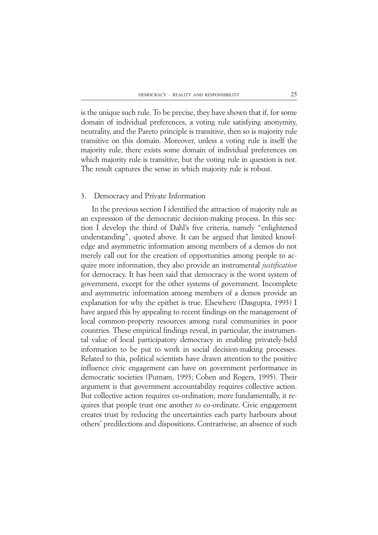is the unique such rule. To be precise, they have shown that if, for some domain of individual preferences, a voting rule satisfying anonymity, neutrality, and the Pareto principle is transitive, then so is majority rule transitive on this domain. Moreover, unless a voting rule is itself the majority rule, there exists some domain of individual preferences on which majority rule is transitive, but the voting rule in question is not. The result captures the sense in which majority rule is robust.

### 3. Democracy and Private Information

In the previous section I identified the attraction of majority rule as an expression of the democratic decision-making process. In this section I develop the third of Dahl's five criteria, namely "enlightened understanding", quoted above. It can be argued that limited knowledge and asymmetric information among members of a demos do not merely call out for the creation of opportunities among people to acquire more information, they also provide an instrumental *justification* for democracy. It has been said that democracy is the worst system of government, except for the other systems of government. Incomplete and asymmetric information among members of a demos provide an explanation for why the epithet is true. Elsewhere (Dasgupta, 1993) I have argued this by appealing to recent findings on the management of local common-property resources among rural communities in poor countries. These empirical findings reveal, in particular, the instrumental value of local participatory democracy in enabling privately-held information to be put to work in social decision-making processes. Related to this, political scientists have drawn attention to the positive influence civic engagement can have on government performance in democratic societies (Putnam, 1993; Cohen and Rogers, 1995). Their argument is that government accountability requires collective action. But collective action requires co-ordination; more fundamentally, it requires that people trust one another *to* co-ordinate. Civic engagement creates trust by reducing the uncertainties each party harbours about others' predilections and dispositions. Contrariwise, an absence of such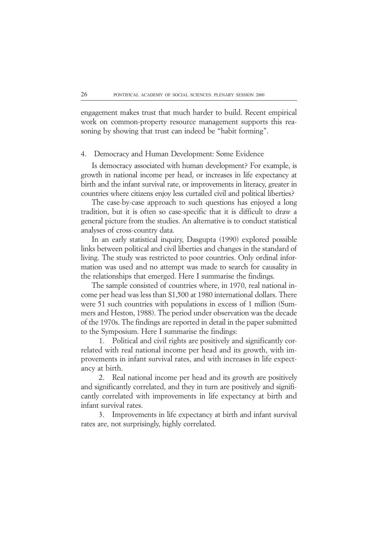engagement makes trust that much harder to build. Recent empirical work on common-property resource management supports this reasoning by showing that trust can indeed be "habit forming".

# 4. Democracy and Human Development: Some Evidence

Is democracy associated with human development? For example, is growth in national income per head, or increases in life expectancy at birth and the infant survival rate, or improvements in literacy, greater in countries where citizens enjoy less curtailed civil and political liberties?

The case-by-case approach to such questions has enjoyed a long tradition, but it is often so case-specific that it is difficult to draw a general picture from the studies. An alternative is to conduct statistical analyses of cross-country data.

In an early statistical inquiry, Dasgupta (1990) explored possible links between political and civil liberties and changes in the standard of living. The study was restricted to poor countries. Only ordinal information was used and no attempt was made to search for causality in the relationships that emerged. Here I summarise the findings.

The sample consisted of countries where, in 1970, real national income per head was less than \$1,500 at 1980 international dollars. There were 51 such countries with populations in excess of 1 million (Summers and Heston, 1988). The period under observation was the decade of the 1970s. The findings are reported in detail in the paper submitted to the Symposium. Here I summarise the findings:

1. Political and civil rights are positively and significantly correlated with real national income per head and its growth, with improvements in infant survival rates, and with increases in life expectancy at birth.

2. Real national income per head and its growth are positively and significantly correlated, and they in turn are positively and significantly correlated with improvements in life expectancy at birth and infant survival rates.

3. Improvements in life expectancy at birth and infant survival rates are, not surprisingly, highly correlated.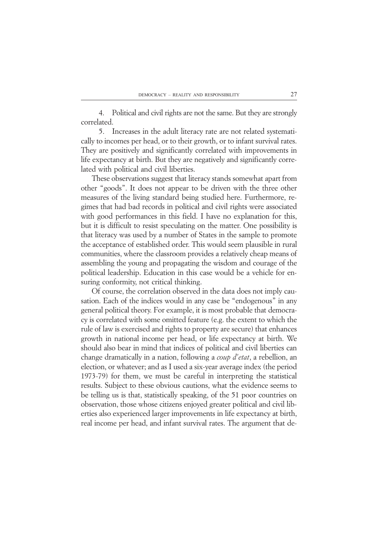4. Political and civil rights are not the same. But they are strongly correlated.

5. Increases in the adult literacy rate are not related systematically to incomes per head, or to their growth, or to infant survival rates. They are positively and significantly correlated with improvements in life expectancy at birth. But they are negatively and significantly correlated with political and civil liberties.

These observations suggest that literacy stands somewhat apart from other "goods". It does not appear to be driven with the three other measures of the living standard being studied here. Furthermore, regimes that had bad records in political and civil rights were associated with good performances in this field. I have no explanation for this, but it is difficult to resist speculating on the matter. One possibility is that literacy was used by a number of States in the sample to promote the acceptance of established order. This would seem plausible in rural communities, where the classroom provides a relatively cheap means of assembling the young and propagating the wisdom and courage of the political leadership. Education in this case would be a vehicle for ensuring conformity, not critical thinking.

Of course, the correlation observed in the data does not imply causation. Each of the indices would in any case be "endogenous" in any general political theory. For example, it is most probable that democracy is correlated with some omitted feature (e.g. the extent to which the rule of law is exercised and rights to property are secure) that enhances growth in national income per head, or life expectancy at birth. We should also bear in mind that indices of political and civil liberties can change dramatically in a nation, following a *coup d'etat*, a rebellion, an election, or whatever; and as I used a six-year average index (the period 1973-79) for them, we must be careful in interpreting the statistical results. Subject to these obvious cautions, what the evidence seems to be telling us is that, statistically speaking, of the 51 poor countries on observation, those whose citizens enjoyed greater political and civil liberties also experienced larger improvements in life expectancy at birth, real income per head, and infant survival rates. The argument that de